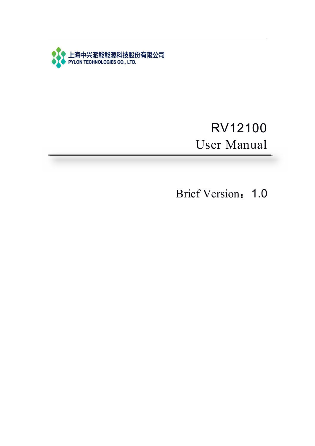

# RV12100 User Manual

Brief Version: 1.0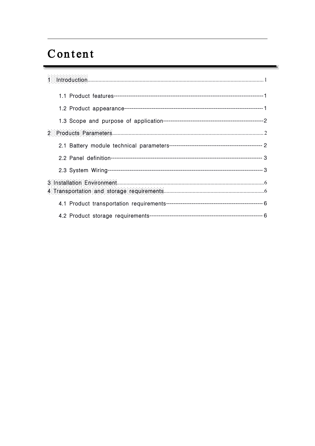# Content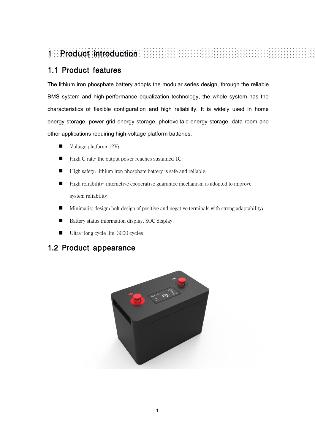# **Product introduction**

## 1.1 Product features

The lithium iron phosphate battery adopts the modular series design, through the reliable BMS system and high-performance equalization technology, the whole system has the characteristics of flexible configuration and high reliability. It is widely used in home energy storage, power grid energy storage, photovoltaic energy storage, data room and other applications requiring high-voltage platform batteries.

- Voltage platform: 12V;
- High C rate: the output power reaches sustained 1C;
- High safety: lithium iron phosphate battery is safe and reliable;
- High reliability: interactive cooperative guarantee mechanism is adopted to improve system reliability;
- Minimalist design: bolt design of positive and negative terminals with strong adaptability;
- Battery status information display, SOC display;
- Ultra-long cycle life: 3000 cycles;

### 1.2 Product appearance

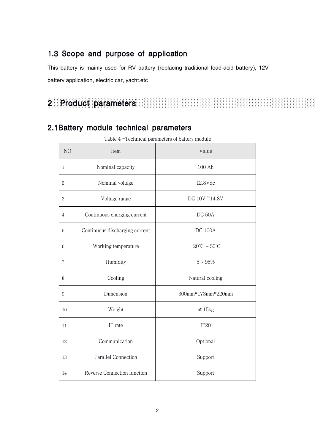## 1.3 Scope and purpose of application

This battery is mainly used for RV battery (replacing traditional lead-acid battery), 12V battery application, electric car, yacht.etc

# Product parameters

## 2.1Battery module technical parameters

|                  | recentrical parameters of battery      |                                   |  |  |  |  |
|------------------|----------------------------------------|-----------------------------------|--|--|--|--|
| NO               | Item                                   | Value                             |  |  |  |  |
| $\mathbf{1}$     | Nominal capacity                       | 100 Ah                            |  |  |  |  |
| $\,2$            | Nominal voltage                        | 12.8Vdc                           |  |  |  |  |
| $\,3$            | Voltage range                          | DC 10V ~14.8V                     |  |  |  |  |
| 4                | Continuous charging current            | DC 50A                            |  |  |  |  |
| $\mathbf 5$      | Continuous discharging current         | <b>DC 100A</b>                    |  |  |  |  |
| $\,6$            | Working temperature                    | $-20^{\circ}$ C ~ 50 $^{\circ}$ C |  |  |  |  |
| $\,7$            | Humidity                               | $5\sim 95\%$                      |  |  |  |  |
| $8\,$            | Cooling                                | Natural cooling                   |  |  |  |  |
| $\boldsymbol{9}$ | Dimension                              | 300mm*173mm*220mm                 |  |  |  |  |
| 10               | Weight                                 | $\leq 15$ kg                      |  |  |  |  |
| $11\,$           | IP rate                                | IP <sub>20</sub>                  |  |  |  |  |
| 12               | Communication                          | Optional                          |  |  |  |  |
| $13\,$           | Parallel Connection                    | Support                           |  |  |  |  |
| 14               | Reverse Connection function<br>Support |                                   |  |  |  |  |

Table 4 -Technical parameters of battery module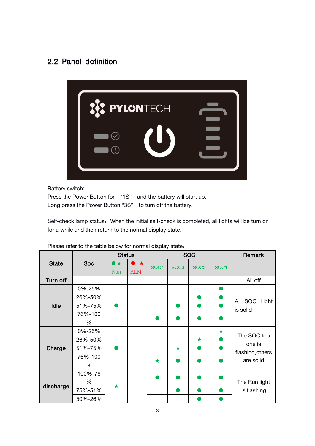## 2.2 Panel definition



Battery switch:

Press the Power Button for "1S" and the battery will start up. Long press the Power Button "3S" to turn off the battery.

Self-check lamp status: When the initial self-check is completed, all lights will be turn on for a while and then return to the normal display state.

|              |            | <b>Status</b>  |            |                  | <b>SOC</b>       | Remark           |                  |                                                        |
|--------------|------------|----------------|------------|------------------|------------------|------------------|------------------|--------------------------------------------------------|
| <b>State</b> | <b>Soc</b> | $\bullet\star$ | $\star$    | SOC <sub>4</sub> | SOC <sub>3</sub> | SOC <sub>2</sub> | SOC <sub>1</sub> |                                                        |
|              |            | Run            | <b>ALM</b> |                  |                  |                  |                  |                                                        |
| Turn off     |            |                |            |                  |                  |                  |                  | All off                                                |
|              | 0%-25%     | $\bullet$      |            |                  |                  |                  | $\bullet$        | SOC Light<br>All<br>is solid                           |
|              | 26%-50%    |                |            |                  |                  | $\bullet$        | a b              |                                                        |
| Idle         | 51%-75%    |                |            |                  | $\bullet$        | $\bullet$        | D                |                                                        |
|              | 76%-100    |                |            |                  |                  |                  |                  |                                                        |
|              | %          |                |            |                  |                  | $\bullet$        |                  |                                                        |
|              | 0%-25%     | ●              |            |                  |                  |                  | $\star$          | The SOC top<br>one is<br>flashing, others<br>are solid |
|              | 26%-50%    |                |            |                  |                  | $\star$          |                  |                                                        |
| Charge       | 51%-75%    |                |            |                  | $\star$          | $\bullet$        | $\bullet$        |                                                        |
|              | 76%-100    |                |            | $\star$          |                  | $\bullet$        |                  |                                                        |
|              | %          |                |            |                  |                  |                  |                  |                                                        |
|              | 100%-76    | $\bigstar$     |            |                  |                  | $\bullet$        |                  | The Run light                                          |
| discharge    | %          |                |            |                  |                  |                  |                  |                                                        |
|              | 75%-51%    |                |            |                  | o a              | $\bullet$        | $\bullet$        | is flashing                                            |
|              | 50%-26%    |                |            |                  |                  | o.               |                  |                                                        |

Please refer to the table below for normal display state: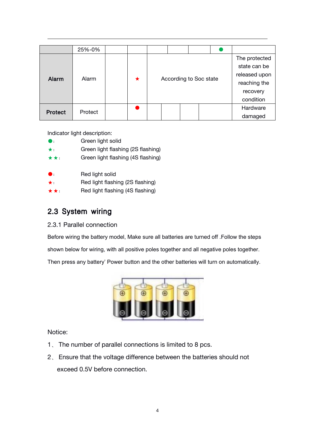|                | 25%-0%  |   |  |                        |               |  |               |              |
|----------------|---------|---|--|------------------------|---------------|--|---------------|--------------|
|                | Alarm   |   |  |                        | The protected |  |               |              |
| Alarm          |         |   |  |                        |               |  |               | state can be |
|                |         | ★ |  | According to Soc state |               |  | released upon |              |
|                |         |   |  |                        |               |  | reaching the  |              |
|                |         |   |  |                        |               |  | recovery      |              |
|                |         |   |  |                        |               |  |               | condition    |
| <b>Protect</b> | Protect |   |  |                        |               |  |               | Hardware     |
|                |         |   |  |                        |               |  |               | damaged      |

Indicator light description:

- ●: Green light solid
- ★: Green light flashing (2S flashing)
- $\star \star$ : Green light flashing (4S flashing)
- ●: Red light solid

Red light flashing (2S flashing)

 $\star \star$ : Red light flashing (4S flashing)

### 2.3 System wiring

#### 2.3.1 Parallel connection

Before wiring the battery model, Make sure all batteries are turned off .Follow the steps shown below for wiring, with all positive poles together and all negative poles together.<br>Then press any battery' Power button and the other batteries will turn on automatically.



Notice:

- 1、 The number of parallel connections is limited to 8 pcs.
- 2、 Ensure that the voltage difference between the batteries should not exceed 0.5V before connection.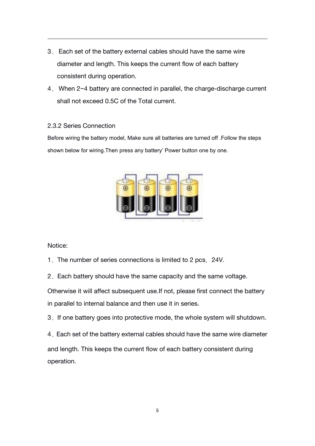- 3、 Each set of the battery external cables should have the same wire diameter and length. This keeps the current flow of each battery consistent during operation.
- 4、 When 2~4 battery are connected in parallel, the charge-discharge current shall not exceed 0.5C of the Total current.

#### 2.3.2 Series Connection

Before wiring the battery model, Make sure all batteries are turned off .Follow the steps shown below for wiring.Then press any battery' Power button one by one.



#### Notice:

- 1、The number of series connections is limited to 2 pcs,24V.
- 2、Each battery should have the same capacity and the same voltage.

Otherwise it will affect subsequent use.If not, please first connect the battery in parallel to internal balance and then use it in series.

3、If one battery goes into protective mode, the whole system will shutdown.

4、Each set of the battery external cables should have the same wire diameter and length. This keeps the current flow of each battery consistent during operation.